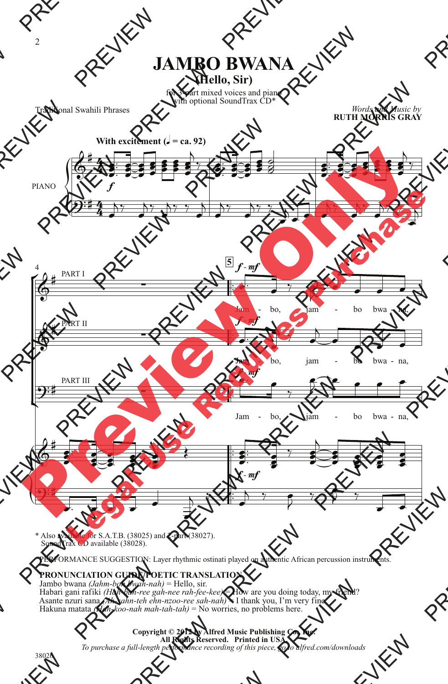## **JAMBO BWANA**

**(Hello, Sir)**

for 3-part mixed voices and piano with optional SoundTrax CD\*

Traditional Swahili Phrases

*Words and Music by* **RUTH MORRIS GRAY**



\* Also available for S.A.T.B. (38025) and 2-part (38027). SoundTrax CD available (38028).

PERFORMANCE SUGGESTION: Layer rhythmic ostinati played on authentic African percussion instruments.

## **PRONUNCIATION GUIDE/POETIC TRANSLATION**

 Jambo bwana *(Jahm-boh bwah-nah)* = Hello, sir. Habari gani rafiki *(Hah-bah-ree gah-nee rah-fee-kee)* = How are you doing today, my friend? Asante nzuri sana *(Ah-sahn-teh ehn-nzoo-ree sah-nah)* = I thank you, I'm very fine. Hakuna matata *(Hah-koo-nah mah-tah-tah)* = No worries, no problems here.

## **Copyright © 2012 by Alfred Music Publishing Co., Inc. All Rights Reserved. Printed in USA.**

*To purchase a full-length performance recording of this piece, go to alfred.com/downloads*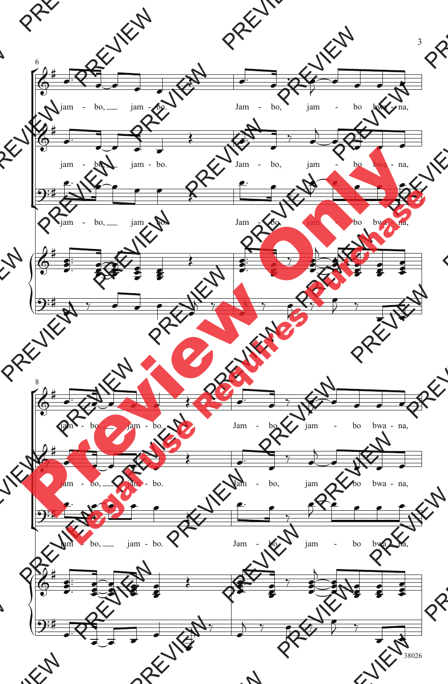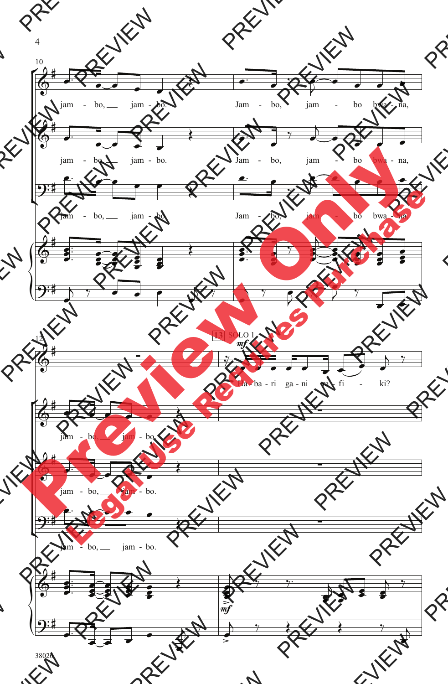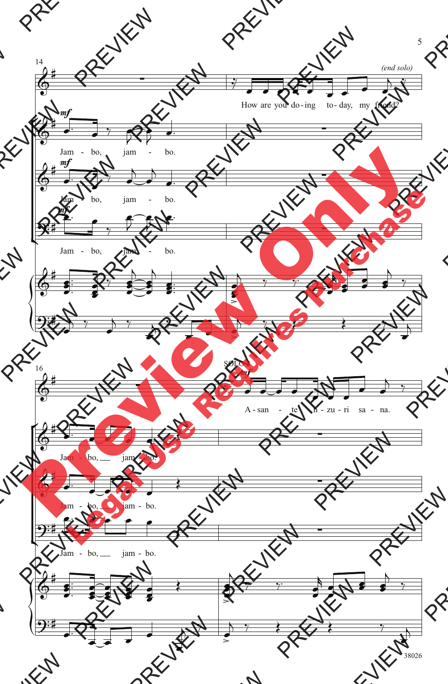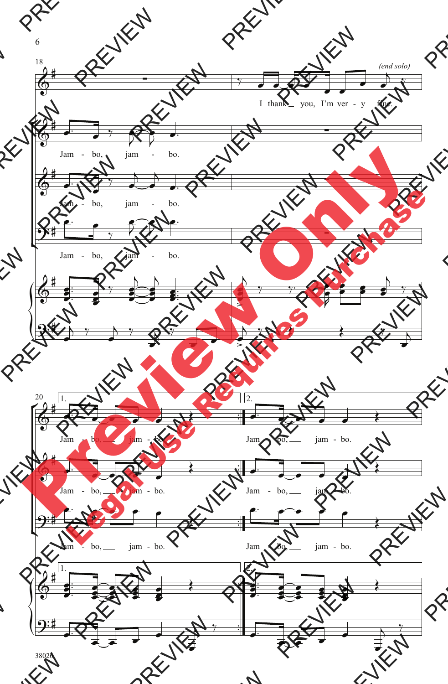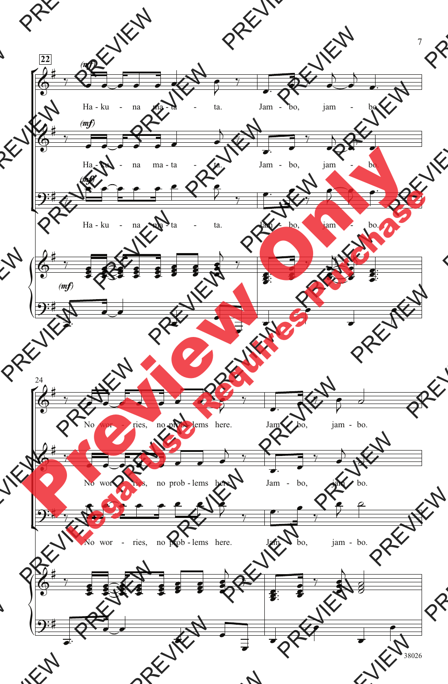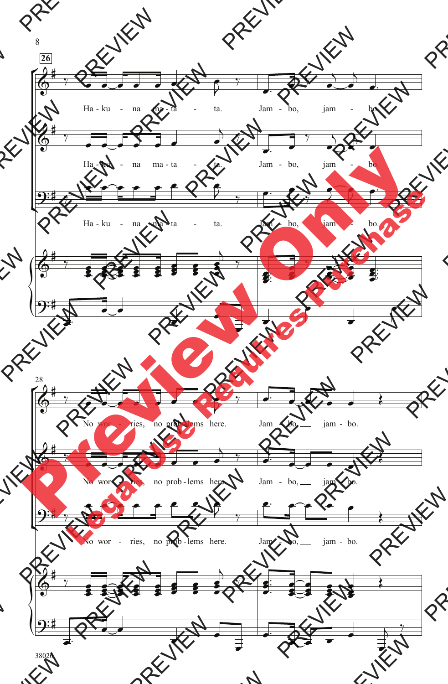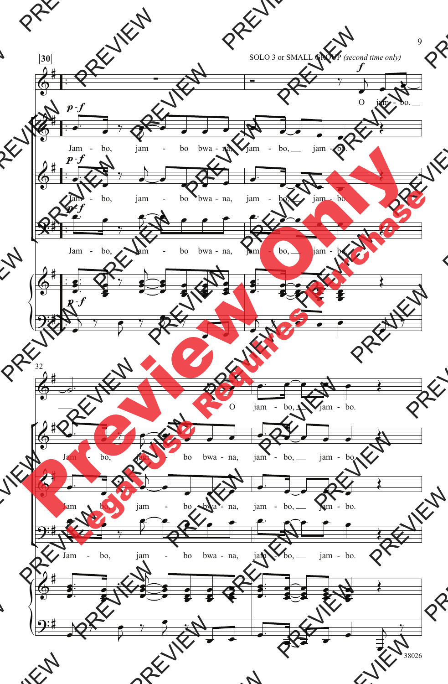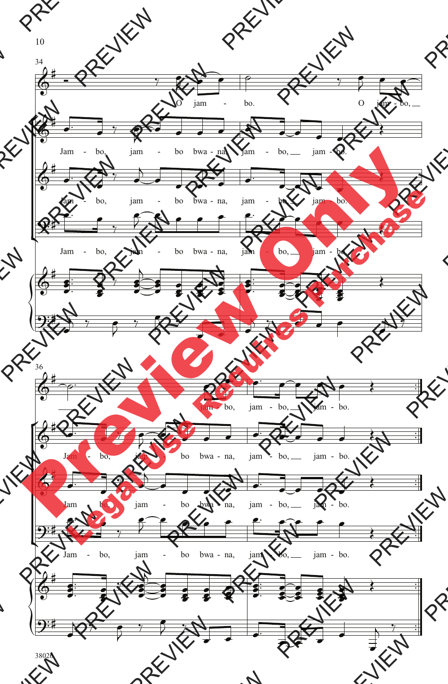